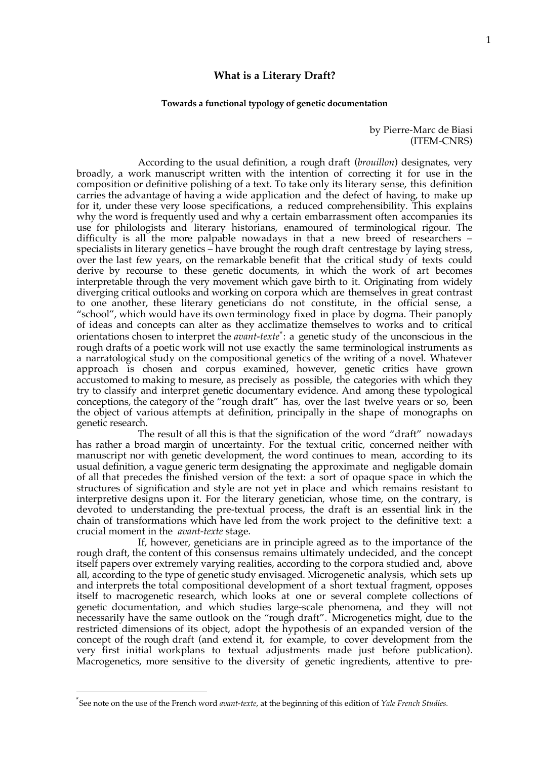# **What is a Literary Draft?**

#### **Towards a functional typology of genetic documentation**

## by Pierre-Marc de Biasi (ITEM-CNRS)

According to the usual definition, a rough draft (*brouillon*) designates, very broadly, a work manuscript written with the intention of correcting it for use in the composition or definitive polishing of a text. To take only its literary sense, this definition carries the advantage of having a wide application and the defect of having, to make up for it, under these very loose specifications, a reduced comprehensibility. This explains why the word is frequently used and why a certain embarrassment often accompanies its use for philologists and literary historians, enamoured of terminological rigour. The difficulty is all the more palpable nowadays in that a new breed of researchers – specialists in literary genetics – have brought the rough draft centrestage by laying stress, over the last few years, on the remarkable benefit that the critical study of texts could derive by recourse to these genetic documents, in which the work of art becomes interpretable through the very movement which gave birth to it. Originating from widely diverging critical outlooks and working on corpora which are themselves in great contrast to one another, these literary geneticians do not constitute, in the official sense, a "school", which would have its own terminology fixed in place by dogma. Their panoply of ideas and concepts can alter as they acclimatize themselves to works and to critical orientations chosen to interpret the *avant-texte*\*: a genetic study of the unconscious in the rough drafts of a poetic work will not use exactly the same terminological instruments as a narratological study on the compositional genetics of the writing of a novel. Whatever approach is chosen and corpus examined, however, genetic critics have grown accustomed to making to mesure, as precisely as possible, the categories with which they try to classify and interpret genetic documentary evidence. And among these typological conceptions, the category of the "rough draft" has, over the last twelve years or so, been the object of various attempts at definition, principally in the shape of monographs on genetic research.

The result of all this is that the signification of the word "draft" nowadays has rather a broad margin of uncertainty. For the textual critic, concerned neither with manuscript nor with genetic development, the word continues to mean, according to its usual definition, a vague generic term designating the approximate and negligable domain of all that precedes the finished version of the text: a sort of opaque space in which the structures of signification and style are not yet in place and which remains resistant to interpretive designs upon it. For the literary genetician, whose time, on the contrary, is devoted to understanding the pre-textual process, the draft is an essential link in the chain of transformations which have led from the work project to the definitive text: a crucial moment in the *avant-texte* stage.

If, however, geneticians are in principle agreed as to the importance of the rough draft, the content of this consensus remains ultimately undecided, and the concept itself papers over extremely varying realities, according to the corpora studied and, above all, according to the type of genetic study envisaged. Microgenetic analysis, which sets up and interprets the total compositional development of a short textual fragment, opposes itself to macrogenetic research, which looks at one or several complete collections of genetic documentation, and which studies large-scale phenomena, and they will not necessarily have the same outlook on the "rough draft". Microgenetics might, due to the restricted dimensions of its object, adopt the hypothesis of an expanded version of the concept of the rough draft (and extend it, for example, to cover development from the very first initial workplans to textual adjustments made just before publication). Macrogenetics, more sensitive to the diversity of genetic ingredients, attentive to pre-

<sup>\*</sup>See note on the use of the French word *avant-texte*, at the beginning of this edition of *Yale French Studies.*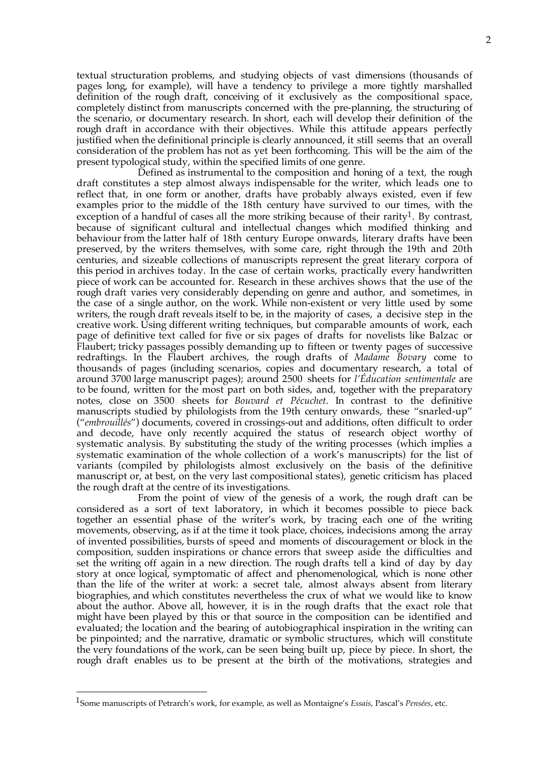textual structuration problems, and studying objects of vast dimensions (thousands of pages long, for example), will have a tendency to privilege a more tightly marshalled definition of the rough draft, conceiving of it exclusively as the compositional space, completely distinct from manuscripts concerned with the pre-planning, the structuring of the scenario, or documentary research. In short, each will develop their definition of the rough draft in accordance with their objectives. While this attitude appears perfectly justified when the definitional principle is clearly announced, it still seems that an overall consideration of the problem has not as yet been forthcoming. This will be the aim of the present typological study, within the specified limits of one genre.

Defined as instrumental to the composition and honing of a text, the rough draft constitutes a step almost always indispensable for the writer, which leads one to reflect that, in one form or another, drafts have probably always existed, even if few examples prior to the middle of the 18th century have survived to our times, with the exception of a handful of cases all the more striking because of their rarity<sup>1</sup>. By contrast, because of significant cultural and intellectual changes which modified thinking and behaviour from the latter half of 18th century Europe onwards, literary drafts have been preserved, by the writers themselves, with some care, right through the 19th and 20th centuries, and sizeable collections of manuscripts represent the great literary corpora of this period in archives today. In the case of certain works, practically every handwritten piece of work can be accounted for. Research in these archives shows that the use of the rough draft varies very considerably depending on genre and author, and sometimes, in the case of a single author, on the work. While non-existent or very little used by some writers, the rough draft reveals itself to be, in the majority of cases, a decisive step in the creative work. Using different writing techniques, but comparable amounts of work, each page of definitive text called for five or six pages of drafts for novelists like Balzac or Flaubert; tricky passages possibly demanding up to fifteen or twenty pages of successive redraftings. In the Flaubert archives, the rough drafts of *Madame Bovary* come to thousands of pages (including scenarios, copies and documentary research, a total of around 3700 large manuscript pages); around 2500 sheets for *l'Éducation sentimentale* are to be found, written for the most part on both sides, and, together with the preparatory notes, close on 3500 sheets for *Bouvard et Pécuchet*. In contrast to the definitive manuscripts studied by philologists from the 19th century onwards, these "snarled-up" ("*embrouillés*") documents, covered in crossings-out and additions, often difficult to order and decode, have only recently acquired the status of research object worthy of systematic analysis. By substituting the study of the writing processes (which implies a systematic examination of the whole collection of a work's manuscripts) for the list of variants (compiled by philologists almost exclusively on the basis of the definitive manuscript or, at best, on the very last compositional states), genetic criticism has placed the rough draft at the centre of its investigations.

From the point of view of the genesis of a work, the rough draft can be considered as a sort of text laboratory, in which it becomes possible to piece back together an essential phase of the writer's work, by tracing each one of the writing movements, observing, as if at the time it took place, choices, indecisions among the array of invented possibilities, bursts of speed and moments of discouragement or block in the composition, sudden inspirations or chance errors that sweep aside the difficulties and set the writing off again in a new direction. The rough drafts tell a kind of day by day story at once logical, symptomatic of affect and phenomenological, which is none other than the life of the writer at work: a secret tale, almost always absent from literary biographies, and which constitutes nevertheless the crux of what we would like to know about the author. Above all, however, it is in the rough drafts that the exact role that might have been played by this or that source in the composition can be identified and evaluated; the location and the bearing of autobiographical inspiration in the writing can be pinpointed; and the narrative, dramatic or symbolic structures, which will constitute the very foundations of the work, can be seen being built up, piece by piece. In short, the rough draft enables us to be present at the birth of the motivations, strategies and

<sup>1</sup>Some manuscripts of Petrarch's work, for example, as well as Montaigne's *Essais*, Pascal's *Pensées*, etc.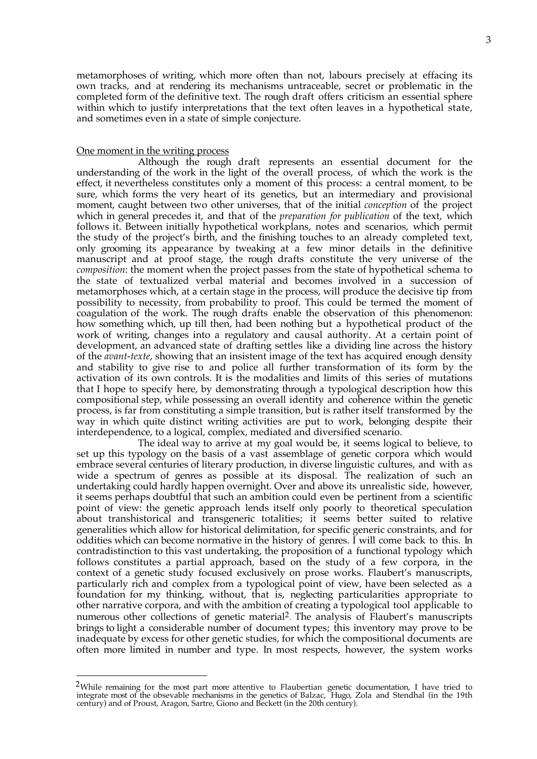metamorphoses of writing, which more often than not, labours precisely at effacing its own tracks, and at rendering its mechanisms untraceable, secret or problematic in the completed form of the definitive text. The rough draft offers criticism an essential sphere within which to justify interpretations that the text often leaves in a hypothetical state, and sometimes even in a state of simple conjecture.

## One moment in the writing process

1

Although the rough draft represents an essential document for the understanding of the work in the light of the overall process, of which the work is the effect, it nevertheless constitutes only a moment of this process: a central moment, to be sure, which forms the very heart of its genetics, but an intermediary and provisional moment, caught between two other universes, that of the initial *conception* of the project which in general precedes it, and that of the *preparation for publication* of the text, which follows it. Between initially hypothetical workplans, notes and scenarios, which permit the study of the project's birth, and the finishing touches to an already completed text, only grooming its appearance by tweaking at a few minor details in the definitive manuscript and at proof stage, the rough drafts constitute the very universe of the *composition*: the moment when the project passes from the state of hypothetical schema to the state of textualized verbal material and becomes involved in a succession of metamorphoses which, at a certain stage in the process, will produce the decisive tip from possibility to necessity, from probability to proof. This could be termed the moment of coagulation of the work. The rough drafts enable the observation of this phenomenon: how something which, up till then, had been nothing but a hypothetical product of the work of writing, changes into a regulatory and causal authority. At a certain point of development, an advanced state of drafting settles like a dividing line across the history of the *avant-texte*, showing that an insistent image of the text has acquired enough density and stability to give rise to and police all further transformation of its form by the activation of its own controls. It is the modalities and limits of this series of mutations that I hope to specify here, by demonstrating through a typological description how this compositional step, while possessing an overall identity and coherence within the genetic process, is far from constituting a simple transition, but is rather itself transformed by the way in which quite distinct writing activities are put to work, belonging despite their interdependence, to a logical, complex, mediated and diversified scenario.

The ideal way to arrive at my goal would be, it seems logical to believe, to set up this typology on the basis of a vast assemblage of genetic corpora which would embrace several centuries of literary production, in diverse linguistic cultures, and with as wide a spectrum of genres as possible at its disposal. The realization of such an undertaking could hardly happen overnight. Over and above its unrealistic side, however, it seems perhaps doubtful that such an ambition could even be pertinent from a scientific point of view: the genetic approach lends itself only poorly to theoretical speculation about transhistorical and transgeneric totalities; it seems better suited to relative generalities which allow for historical delimitation, for specific generic constraints, and for oddities which can become normative in the history of genres. I will come back to this. In contradistinction to this vast undertaking, the proposition of a functional typology which follows constitutes a partial approach, based on the study of a few corpora, in the context of a genetic study focused exclusively on prose works. Flaubert's manuscripts, particularly rich and complex from a typological point of view, have been selected as a foundation for my thinking, without, that is, neglecting particularities appropriate to other narrative corpora, and with the ambition of creating a typological tool applicable to numerous other collections of genetic material<sup>2</sup>. The analysis of Flaubert's manuscripts brings to light a considerable number of document types; this inventory may prove to be inadequate by excess for other genetic studies, for which the compositional documents are often more limited in number and type. In most respects, however, the system works

<sup>&</sup>lt;sup>2</sup>While remaining for the most part more attentive to Flaubertian genetic documentation, I have tried to integrate most of the obsevable mechanisms in the genetics of Balzac, Hugo, Zola and Stendhal (in the 19th century) and of Proust, Aragon, Sartre, Giono and Beckett (in the 20th century).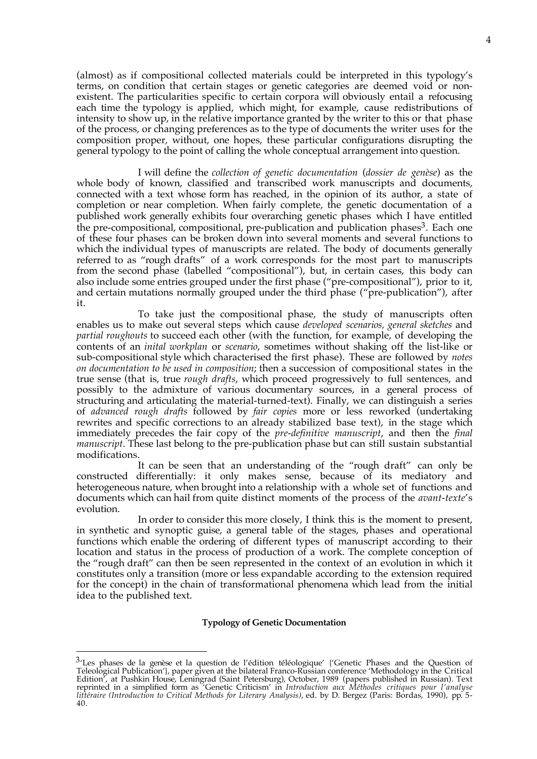(almost) as if compositional collected materials could be interpreted in this typology's terms, on condition that certain stages or genetic categories are deemed void or nonexistent. The particularities specific to certain corpora will obviously entail a refocusing each time the typology is applied, which might, for example, cause redistributions of intensity to show up, in the relative importance granted by the writer to this or that phase of the process, or changing preferences as to the type of documents the writer uses for the composition proper, without, one hopes, these particular configurations disrupting the general typology to the point of calling the whole conceptual arrangement into question.

I will define the *collection of genetic documentation* (*dossier de genèse*) as the whole body of known, classified and transcribed work manuscripts and documents, connected with a text whose form has reached, in the opinion of its author, a state of completion or near completion. When fairly complete, the genetic documentation of a published work generally exhibits four overarching genetic phases which I have entitled the pre-compositional, compositional, pre-publication and publication phases<sup>3</sup>. Each one of these four phases can be broken down into several moments and several functions to which the individual types of manuscripts are related. The body of documents generally referred to as "rough drafts" of a work corresponds for the most part to manuscripts from the second phase (labelled "compositional"), but, in certain cases, this body can also include some entries grouped under the first phase ("pre-compositional"), prior to it, and certain mutations normally grouped under the third phase ("pre-publication"), after it.

To take just the compositional phase, the study of manuscripts often enables us to make out several steps which cause *developed scenarios, general sketches* and *partial roughouts* to succeed each other (with the function, for example, of developing the contents of an *inital workplan* or *scenario*, sometimes without shaking off the list-like or sub-compositional style which characterised the first phase). These are followed by *notes on documentation to be used in composition*; then a succession of compositional states in the true sense (that is, true *rough drafts*, which proceed progressively to full sentences, and possibly to the admixture of various documentary sources, in a general process of structuring and articulating the material-turned-text). Finally, we can distinguish a series of *advanced rough drafts* followed by *fair copies* more or less reworked (undertaking rewrites and specific corrections to an already stabilized base text), in the stage which immediately precedes the fair copy of the *pre-definitive manuscript*, and then the *final manuscript*. These last belong to the pre-publication phase but can still sustain substantial modifications.

It can be seen that an understanding of the "rough draft" can only be constructed differentially: it only makes sense, because of its mediatory and heterogeneous nature, when brought into a relationship with a whole set of functions and documents which can hail from quite distinct moments of the process of the *avant-texte*'s evolution.

In order to consider this more closely, I think this is the moment to present, in synthetic and synoptic guise, a general table of the stages, phases and operational functions which enable the ordering of different types of manuscript according to their location and status in the process of production of a work. The complete conception of the "rough draft" can then be seen represented in the context of an evolution in which it constitutes only a transition (more or less expandable according to the extension required for the concept) in the chain of transformational phenomena which lead from the initial idea to the published text.

#### **Typology of Genetic Documentation**

 $3$ 'Les phases de la genèse et la question de l'édition téléologique' {'Genetic Phases and the Question of Teleological Publication'}, paper given at the bilateral Franco-Russian conference 'Methodology in the Critical Edition', at Pushkin House, Leningrad (Saint Petersburg), October, 1989 (papers published in Russian). Text reprinted in a simplified form as 'Genetic Criticism' in *Introduction aux Méthodes critiques pour l'analyse littéraire (Introduction to Critical Methods for Literary Analysis)*, ed. by D. Bergez (Paris: Bordas, 1990), pp. 5- 40.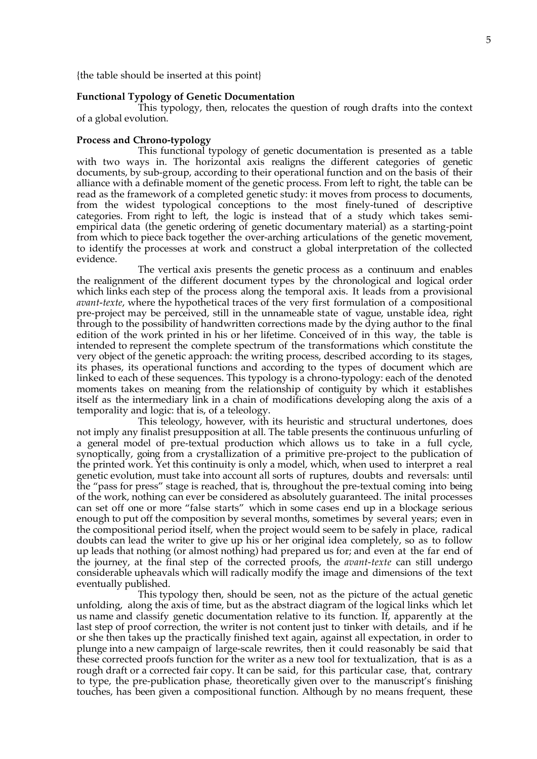{the table should be inserted at this point}

## **Functional Typology of Genetic Documentation**

This typology, then, relocates the question of rough drafts into the context of a global evolution.

#### **Process and Chrono-typology**

This functional typology of genetic documentation is presented as a table with two ways in. The horizontal axis realigns the different categories of genetic documents, by sub-group, according to their operational function and on the basis of their alliance with a definable moment of the genetic process. From left to right, the table can be read as the framework of a completed genetic study: it moves from process to documents, from the widest typological conceptions to the most finely-tuned of descriptive categories. From right to left, the logic is instead that of a study which takes semiempirical data (the genetic ordering of genetic documentary material) as a starting-point from which to piece back together the over-arching articulations of the genetic movement, to identify the processes at work and construct a global interpretation of the collected evidence.

The vertical axis presents the genetic process as a continuum and enables the realignment of the different document types by the chronological and logical order which links each step of the process along the temporal axis. It leads from a provisional *avant-texte*, where the hypothetical traces of the very first formulation of a compositional pre-project may be perceived, still in the unnameable state of vague, unstable idea, right through to the possibility of handwritten corrections made by the dying author to the final edition of the work printed in his or her lifetime. Conceived of in this way, the table is intended to represent the complete spectrum of the transformations which constitute the very object of the genetic approach: the writing process, described according to its stages, its phases, its operational functions and according to the types of document which are linked to each of these sequences. This typology is a chrono-typology: each of the denoted moments takes on meaning from the relationship of contiguity by which it establishes itself as the intermediary link in a chain of modifications developing along the axis of a temporality and logic: that is, of a teleology.

This teleology, however, with its heuristic and structural undertones, does not imply any finalist presupposition at all. The table presents the continuous unfurling of a general model of pre-textual production which allows us to take in a full cycle, synoptically, going from a crystallization of a primitive pre-project to the publication of the printed work. Yet this continuity is only a model, which, when used to interpret a real genetic evolution, must take into account all sorts of ruptures, doubts and reversals: until the "pass for press" stage is reached, that is, throughout the pre-textual coming into being of the work, nothing can ever be considered as absolutely guaranteed. The inital processes can set off one or more "false starts" which in some cases end up in a blockage serious enough to put off the composition by several months, sometimes by several years; even in the compositional period itself, when the project would seem to be safely in place, radical doubts can lead the writer to give up his or her original idea completely, so as to follow up leads that nothing (or almost nothing) had prepared us for; and even at the far end of the journey, at the final step of the corrected proofs, the *avant-texte* can still undergo considerable upheavals which will radically modify the image and dimensions of the text eventually published.

This typology then, should be seen, not as the picture of the actual genetic unfolding, along the axis of time, but as the abstract diagram of the logical links which let us name and classify genetic documentation relative to its function. If, apparently at the last step of proof correction, the writer is not content just to tinker with details, and if he or she then takes up the practically finished text again, against all expectation, in order to plunge into a new campaign of large-scale rewrites, then it could reasonably be said that these corrected proofs function for the writer as a new tool for textualization, that is as a rough draft or a corrected fair copy. It can be said, for this particular case, that, contrary to type, the pre-publication phase, theoretically given over to the manuscript's finishing touches, has been given a compositional function. Although by no means frequent, these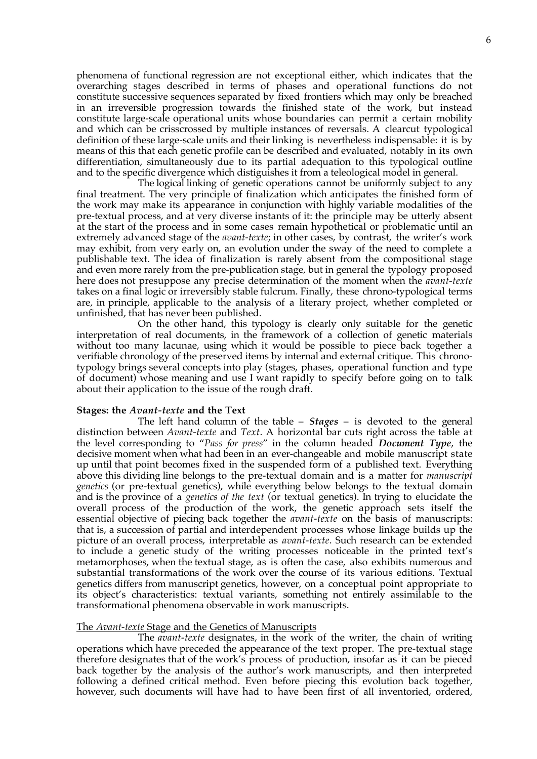phenomena of functional regression are not exceptional either, which indicates that the overarching stages described in terms of phases and operational functions do not constitute successive sequences separated by fixed frontiers which may only be breached in an irreversible progression towards the finished state of the work, but instead constitute large-scale operational units whose boundaries can permit a certain mobility and which can be crisscrossed by multiple instances of reversals. A clearcut typological definition of these large-scale units and their linking is nevertheless indispensable: it is by means of this that each genetic profile can be described and evaluated, notably in its own differentiation, simultaneously due to its partial adequation to this typological outline and to the specific divergence which distiguishes it from a teleological model in general.

The logical linking of genetic operations cannot be uniformly subject to any final treatment. The very principle of finalization which anticipates the finished form of the work may make its appearance in conjunction with highly variable modalities of the pre-textual process, and at very diverse instants of it: the principle may be utterly absent at the start of the process and in some cases remain hypothetical or problematic until an extremely advanced stage of the *avant-texte*; in other cases, by contrast, the writer's work may exhibit, from very early on, an evolution under the sway of the need to complete a publishable text. The idea of finalization is rarely absent from the compositional stage and even more rarely from the pre-publication stage, but in general the typology proposed here does not presuppose any precise determination of the moment when the *avant-texte* takes on a final logic or irreversibly stable fulcrum. Finally, these chrono-typological terms are, in principle, applicable to the analysis of a literary project, whether completed or unfinished, that has never been published.

On the other hand, this typology is clearly only suitable for the genetic interpretation of real documents, in the framework of a collection of genetic materials without too many lacunae, using which it would be possible to piece back together a verifiable chronology of the preserved items by internal and external critique. This chronotypology brings several concepts into play (stages, phases, operational function and type of document) whose meaning and use I want rapidly to specify before going on to talk about their application to the issue of the rough draft.

## **Stages: the** *Avant-texte* **and the Text**

The left hand column of the table – *Stages* – is devoted to the general distinction between *Avant-texte* and *Text*. A horizontal bar cuts right across the table at the level corresponding to "*Pass for press*" in the column headed *Document Type*, the decisive moment when what had been in an ever-changeable and mobile manuscript state up until that point becomes fixed in the suspended form of a published text. Everything above this dividing line belongs to the pre-textual domain and is a matter for *manuscript genetics* (or pre-textual genetics), while everything below belongs to the textual domain and is the province of a *genetics of the text* (or textual genetics). In trying to elucidate the overall process of the production of the work, the genetic approach sets itself the essential objective of piecing back together the *avant-texte* on the basis of manuscripts: that is, a succession of partial and interdependent processes whose linkage builds up the picture of an overall process, interpretable as *avant-texte*. Such research can be extended to include a genetic study of the writing processes noticeable in the printed text's metamorphoses, when the textual stage, as is often the case, also exhibits numerous and substantial transformations of the work over the course of its various editions. Textual genetics differs from manuscript genetics, however, on a conceptual point appropriate to its object's characteristics: textual variants, something not entirely assimilable to the transformational phenomena observable in work manuscripts.

### The *Avant-texte* Stage and the Genetics of Manuscripts

The *avant-texte* designates, in the work of the writer, the chain of writing operations which have preceded the appearance of the text proper. The pre-textual stage therefore designates that of the work's process of production, insofar as it can be pieced back together by the analysis of the author's work manuscripts, and then interpreted following a defined critical method. Even before piecing this evolution back together, however, such documents will have had to have been first of all inventoried, ordered,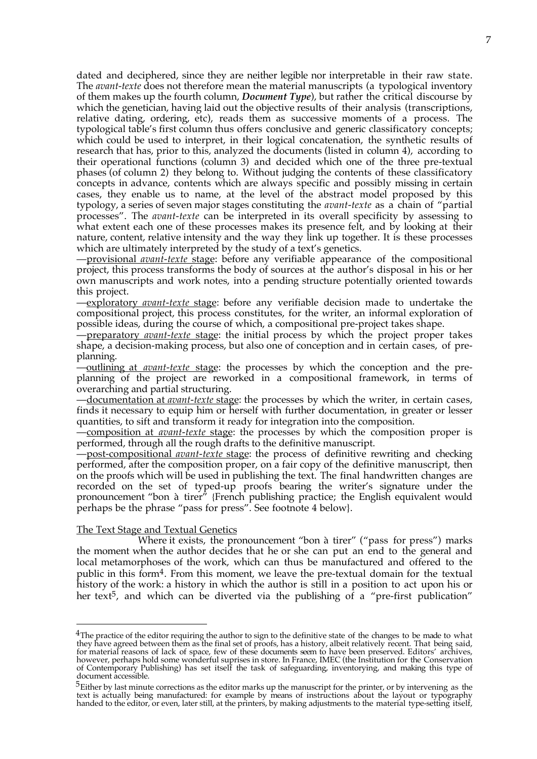dated and deciphered, since they are neither legible nor interpretable in their raw state. The *avant-texte* does not therefore mean the material manuscripts (a typological inventory of them makes up the fourth column, *Document Type*), but rather the critical discourse by which the genetician, having laid out the objective results of their analysis (transcriptions, relative dating, ordering, etc), reads them as successive moments of a process. The typological table's first column thus offers conclusive and generic classificatory concepts; which could be used to interpret, in their logical concatenation, the synthetic results of research that has, prior to this, analyzed the documents (listed in column 4), according to their operational functions (column 3) and decided which one of the three pre-textual phases (of column 2) they belong to. Without judging the contents of these classificatory concepts in advance, contents which are always specific and possibly missing in certain cases, they enable us to name, at the level of the abstract model proposed by this typology, a series of seven major stages constituting the *avant-texte* as a chain of "partial processes". The *avant-texte* can be interpreted in its overall specificity by assessing to what extent each one of these processes makes its presence felt, and by looking at their nature, content, relative intensity and the way they link up together. It is these processes which are ultimately interpreted by the study of a text's genetics.

—provisional *avant-texte* stage: before any verifiable appearance of the compositional project, this process transforms the body of sources at the author's disposal in his or her own manuscripts and work notes, into a pending structure potentially oriented towards this project.

—exploratory *avant-texte* stage: before any verifiable decision made to undertake the compositional project, this process constitutes, for the writer, an informal exploration of possible ideas, during the course of which, a compositional pre-project takes shape.

—preparatory *avant-texte* stage: the initial process by which the project proper takes shape, a decision-making process, but also one of conception and in certain cases, of preplanning.

—outlining at *avant-texte* stage: the processes by which the conception and the preplanning of the project are reworked in a compositional framework, in terms of overarching and partial structuring.

—documentation at *avant-texte* stage: the processes by which the writer, in certain cases, finds it necessary to equip him or herself with further documentation, in greater or lesser quantities, to sift and transform it ready for integration into the composition.

—composition at *avant-texte* stage: the processes by which the composition proper is performed, through all the rough drafts to the definitive manuscript.

—post-compositional *avant-texte* stage: the process of definitive rewriting and checking performed, after the composition proper, on a fair copy of the definitive manuscript, then on the proofs which will be used in publishing the text. The final handwritten changes are recorded on the set of typed-up proofs bearing the writer's signature under the pronouncement "bon à tirer" {French publishing practice; the English equivalent would perhaps be the phrase "pass for press". See footnote 4 below}.

# The Text Stage and Textual Genetics

1

Where it exists, the pronouncement "bon à tirer" ("pass for press") marks the moment when the author decides that he or she can put an end to the general and local metamorphoses of the work, which can thus be manufactured and offered to the public in this form4. From this moment, we leave the pre-textual domain for the textual history of the work: a history in which the author is still in a position to act upon his or her text<sup>5</sup>, and which can be diverted via the publishing of a "pre-first publication"

 $4$ The practice of the editor requiring the author to sign to the definitive state of the changes to be made to what they have agreed between them as the final set of proofs, has a history, albeit relatively recent. That being said, for material reasons of lack of space, few of these documents seem to have been preserved. Editors' archives, however, perhaps hold some wonderful suprises in store. In France, IMEC (the Institution for the Conservation of Contemporary Publishing) has set itself the task of safeguarding, inventorying, and making this type of document accessible.

<sup>&</sup>lt;sup>5</sup>Either by last minute corrections as the editor marks up the manuscript for the printer, or by intervening as the text is actually being manufactured: for example by means of instructions about the layout or typography handed to the editor, or even, later still, at the printers, by making adjustments to the material type-setting itself,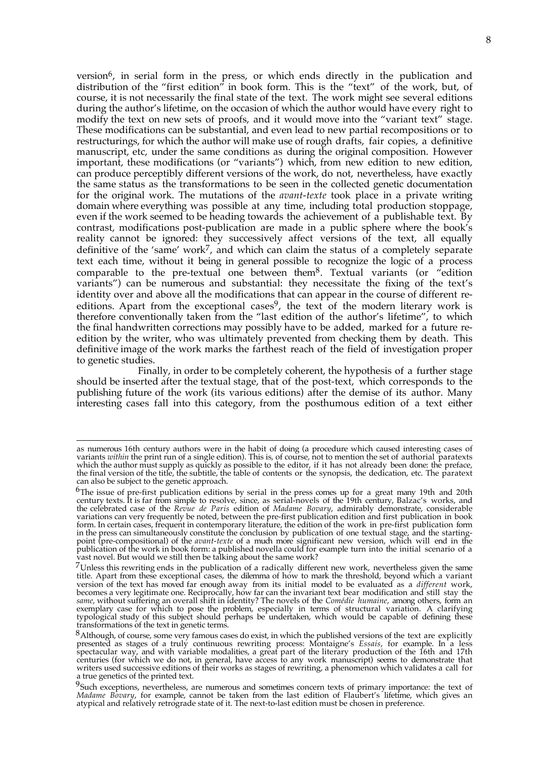version<sup>6</sup>, in serial form in the press, or which ends directly in the publication and distribution of the "first edition" in book form. This is the "text" of the work, but, of course, it is not necessarily the final state of the text. The work might see several editions during the author's lifetime, on the occasion of which the author would have every right to modify the text on new sets of proofs, and it would move into the "variant text" stage. These modifications can be substantial, and even lead to new partial recompositions or to restructurings, for which the author will make use of rough drafts, fair copies, a definitive manuscript, etc, under the same conditions as during the original composition. However important, these modifications (or "variants") which, from new edition to new edition, can produce perceptibly different versions of the work, do not, nevertheless, have exactly the same status as the transformations to be seen in the collected genetic documentation for the original work. The mutations of the *avant-texte* took place in a private writing domain where everything was possible at any time, including total production stoppage, even if the work seemed to be heading towards the achievement of a publishable text. By contrast, modifications post-publication are made in a public sphere where the book's reality cannot be ignored: they successively affect versions of the text, all equally definitive of the 'same' work<sup>7</sup>, and which can claim the status of a completely separate text each time, without it being in general possible to recognize the logic of a process comparable to the pre-textual one between them8. Textual variants (or "edition variants") can be numerous and substantial: they necessitate the fixing of the text's identity over and above all the modifications that can appear in the course of different reeditions. Apart from the exceptional cases<sup>9</sup>, the text of the modern literary work is therefore conventionally taken from the "last edition of the author's lifetime", to which the final handwritten corrections may possibly have to be added, marked for a future reedition by the writer, who was ultimately prevented from checking them by death. This definitive image of the work marks the farthest reach of the field of investigation proper to genetic studies.

Finally, in order to be completely coherent, the hypothesis of a further stage should be inserted after the textual stage, that of the post-text, which corresponds to the publishing future of the work (its various editions) after the demise of its author. Many interesting cases fall into this category, from the posthumous edition of a text either

 $\overline{a}$ 

as numerous 16th century authors were in the habit of doing (a procedure which caused interesting cases of variants *within* the print run of a single edition). This is, of course, not to mention the set of authorial paratexts which the author must supply as quickly as possible to the editor, if it has not already been done: the preface, the final version of the title, the subtitle, the table of contents or the synopsis, the dedication, etc. The paratext can also be subject to the genetic approach.

 $6$ The issue of pre-first publication editions by serial in the press comes up for a great many 19th and 20th century texts. It is far from simple to resolve, since, as serial-novels of the 19th century, Balzac's works, and the celebrated case of the *Revue de Paris* edition of *Madame Bovary*, admirably demonstrate, considerable variations can very frequently be noted, between the pre-first publication edition and first publication in book form. In certain cases, frequent in contemporary literature, the edition of the work in pre-first publication form in the press can simultaneously constitute the conclusion by publication of one textual stage, and the startingpoint (pre-compositional) of the *avant-texte* of a much more significant new version, which will end in the publication of the work in book form: a published novella could for example turn into the initial scenario of a vast novel. But would we still then be talking about the same work?

 $7$ Unless this rewriting ends in the publication of a radically different new work, nevertheless given the same title. Apart from these exceptional cases, the dilemma of how to mark the threshold, beyond which a variant version of the text has moved far enough away from its initial model to be evaluated as a *different* work, becomes a very legitimate one. Reciprocally, how far can the invariant text bear modification and still stay the *same*, without suffering an overall shift in identity? The novels of the *Comédie humaine*, among others, form an exemplary case for which to pose the problem, especially in terms of structural variation. A clarifying typological study of this subject should perhaps be undertaken, which would be capable of defining these transformations of the text in genetic terms.

<sup>8</sup>Although, of course, some very famous cases do exist, in which the published versions of the text are explicitly presented as stages of a truly continuous rewriting process: Montaigne's *Essais*, for example. In a less spectacular way, and with variable modalities, a great part of the literary production of the 16th and 17th centuries (for which we do not, in general, have access to any work manuscript) seems to demonstrate that writers used successive editions of their works as stages of rewriting, a phenomenon which validates a call for a true genetics of the printed text.

<sup>&</sup>lt;sup>9</sup>Such exceptions, nevertheless, are numerous and sometimes concern texts of primary importance: the text of *Madame Bovary*, for example, cannot be taken from the last edition of Flaubert's lifetime, which gives an atypical and relatively retrograde state of it. The next-to-last edition must be chosen in preference.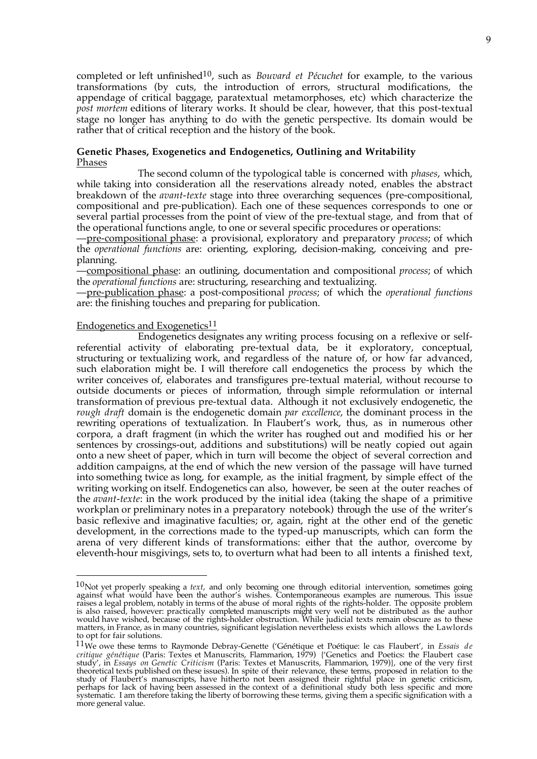completed or left unfinished10, such as *Bouvard et Pécuchet* for example, to the various transformations (by cuts, the introduction of errors, structural modifications, the appendage of critical baggage, paratextual metamorphoses, etc) which characterize the *post mortem* editions of literary works. It should be clear, however, that this post-textual stage no longer has anything to do with the genetic perspective. Its domain would be rather that of critical reception and the history of the book.

# **Genetic Phases, Exogenetics and Endogenetics, Outlining and Writability** Phases

The second column of the typological table is concerned with *phases*, which, while taking into consideration all the reservations already noted, enables the abstract breakdown of the *avant-texte* stage into three overarching sequences (pre-compositional, compositional and pre-publication). Each one of these sequences corresponds to one or several partial processes from the point of view of the pre-textual stage, and from that of the operational functions angle, to one or several specific procedures or operations:

—pre-compositional phase: a provisional, exploratory and preparatory *process*; of which the *operational functions* are: orienting, exploring, decision-making, conceiving and preplanning.

—compositional phase: an outlining, documentation and compositional *process*; of which the *operational functions* are: structuring, researching and textualizing.

—pre-publication phase: a post-compositional *process*; of which the *operational functions* are: the finishing touches and preparing for publication.

# Endogenetics and Exogenetics<sup>11</sup>

1

Endogenetics designates any writing process focusing on a reflexive or selfreferential activity of elaborating pre-textual data, be it exploratory, conceptual, structuring or textualizing work, and regardless of the nature of, or how far advanced, such elaboration might be. I will therefore call endogenetics the process by which the writer conceives of, elaborates and transfigures pre-textual material, without recourse to outside documents or pieces of information, through simple reformulation or internal transformation of previous pre-textual data. Although it not exclusively endogenetic, the *rough draft* domain is the endogenetic domain *par excellence*, the dominant process in the rewriting operations of textualization. In Flaubert's work, thus, as in numerous other corpora, a draft fragment (in which the writer has roughed out and modified his or her sentences by crossings-out, additions and substitutions) will be neatly copied out again onto a new sheet of paper, which in turn will become the object of several correction and addition campaigns, at the end of which the new version of the passage will have turned into something twice as long, for example, as the initial fragment, by simple effect of the writing working on itself. Endogenetics can also, however, be seen at the outer reaches of the *avant-texte*: in the work produced by the initial idea (taking the shape of a primitive workplan or preliminary notes in a preparatory notebook) through the use of the writer's basic reflexive and imaginative faculties; or, again, right at the other end of the genetic development, in the corrections made to the typed-up manuscripts, which can form the arena of very different kinds of transformations: either that the author, overcome by eleventh-hour misgivings, sets to, to overturn what had been to all intents a finished text,

<sup>10</sup>Not yet properly speaking a *text*, and only becoming one through editorial intervention, sometimes going against what would have been the author's wishes. Contemporaneous examples are numerous. This issue raises a legal problem, notably in terms of the abuse of moral rights of the rights-holder. The opposite problem is also raised, however: practically completed manuscripts might very well not be distributed as the author would have wished, because of the rights-holder obstruction. While judicial texts remain obscure as to these matters, in France, as in many countries, significant legislation nevertheless exists which allows the Lawlords to opt for fair solutions.

<sup>11</sup>We owe these terms to Raymonde Debray-Genette ('Génétique et Poétique: le cas Flaubert', in *Essais de critique génétique* (Paris: Textes et Manuscrits, Flammarion, 1979) {'Genetics and Poetics: the Flaubert case study', in *Essays on Genetic Criticism* (Paris: Textes et Manuscrits, Flammarion, 1979)}, one of the very first theoretical texts published on these issues). In spite of their relevance, these terms, proposed in relation to the study of Flaubert's manuscripts, have hitherto not been assigned their rightful place in genetic criticism, perhaps for lack of having been assessed in the context of a definitional study both less specific and more systematic. I am therefore taking the liberty of borrowing these terms, giving them a specific signification with a more general value.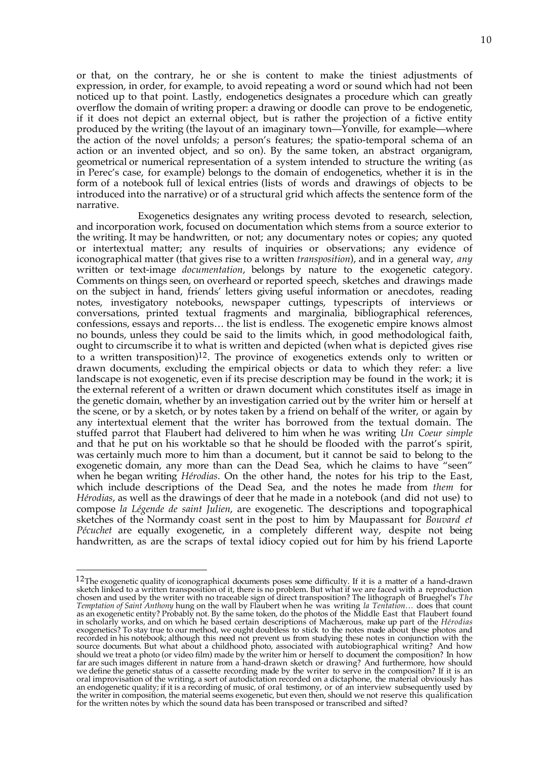or that, on the contrary, he or she is content to make the tiniest adjustments of expression, in order, for example, to avoid repeating a word or sound which had not been noticed up to that point. Lastly, endogenetics designates a procedure which can greatly overflow the domain of writing proper: a drawing or doodle can prove to be endogenetic, if it does not depict an external object, but is rather the projection of a fictive entity produced by the writing (the layout of an imaginary town—Yonville, for example—where the action of the novel unfolds; a person's features; the spatio-temporal schema of an action or an invented object, and so on). By the same token, an abstract organigram, geometrical or numerical representation of a system intended to structure the writing (as in Perec's case, for example) belongs to the domain of endogenetics, whether it is in the form of a notebook full of lexical entries (lists of words and drawings of objects to be introduced into the narrative) or of a structural grid which affects the sentence form of the narrative.

Exogenetics designates any writing process devoted to research, selection, and incorporation work, focused on documentation which stems from a source exterior to the writing. It may be handwritten, or not; any documentary notes or copies; any quoted or intertextual matter; any results of inquiries or observations; any evidence of iconographical matter (that gives rise to a written *transposition*), and in a general way, *any* written or text-image *documentation*, belongs by nature to the exogenetic category. Comments on things seen, on overheard or reported speech, sketches and drawings made on the subject in hand, friends' letters giving useful information or anecdotes, reading notes, investigatory notebooks, newspaper cuttings, typescripts of interviews or conversations, printed textual fragments and marginalia, bibliographical references, confessions, essays and reports… the list is endless. The exogenetic empire knows almost no bounds, unless they could be said to the limits which, in good methodological faith, ought to circumscribe it to what is written and depicted (when what is depicted gives rise to a written transposition)<sup>12</sup>. The province of exogenetics extends only to written or drawn documents, excluding the empirical objects or data to which they refer: a live landscape is not exogenetic, even if its precise description may be found in the work; it is the external referent of a written or drawn document which constitutes itself as image in the genetic domain, whether by an investigation carried out by the writer him or herself at the scene, or by a sketch, or by notes taken by a friend on behalf of the writer, or again by any intertextual element that the writer has borrowed from the textual domain. The stuffed parrot that Flaubert had delivered to him when he was writing *Un Coeur simple* and that he put on his worktable so that he should be flooded with the parrot's spirit, was certainly much more to him than a document, but it cannot be said to belong to the exogenetic domain, any more than can the Dead Sea, which he claims to have "seen" when he began writing *Hérodias*. On the other hand, the notes for his trip to the East, which include descriptions of the Dead Sea, and the notes he made from *them* for *Hérodias*, as well as the drawings of deer that he made in a notebook (and did not use) to compose *la Légende de saint Julien*, are exogenetic. The descriptions and topographical sketches of the Normandy coast sent in the post to him by Maupassant for *Bouvard et Pécuchet* are equally exogenetic, in a completely different way, despite not being handwritten, as are the scraps of textal idiocy copied out for him by his friend Laporte

 $\overline{a}$ 

<sup>12</sup>The exogenetic quality of iconographical documents poses some difficulty. If it is a matter of a hand-drawn sketch linked to a written transposition of it, there is no problem. But what if we are faced with a reproduction chosen and used by the writer with no traceable sign of direct transposition? The lithograph of Brueghel's *The Temptation of Saint Anthony* hung on the wall by Flaubert when he was writing *la Tentation…* does that count as an exogenetic entity? Probably not. By the same token, do the photos of the Middle East that Flaubert found in scholarly works, and on which he based certain descriptions of Machærous, make up part of the *Hérodias* exogenetics? To stay true to our method, we ought doubtless to stick to the notes made about these photos and recorded in his notebook; although this need not prevent us from studying these notes in conjunction with the source documents. But what about a childhood photo, associated with autobiographical writing? And how should we treat a photo (or video film) made by the writer him or herself to document the composition? In how far are such images different in nature from a hand-drawn sketch or drawing? And furthermore, how should we define the genetic status of a cassette recording made by the writer to serve in the composition? If it is an oral improvisation of the writing, a sort of autodictation recorded on a dictaphone, the material obviously has an endogenetic quality; if it is a recording of music, of oral testimony, or of an interview subsequently used by the writer in composition, the material seems exogenetic, but even then, should we not reserve this qualification for the written notes by which the sound data has been transposed or transcribed and sifted?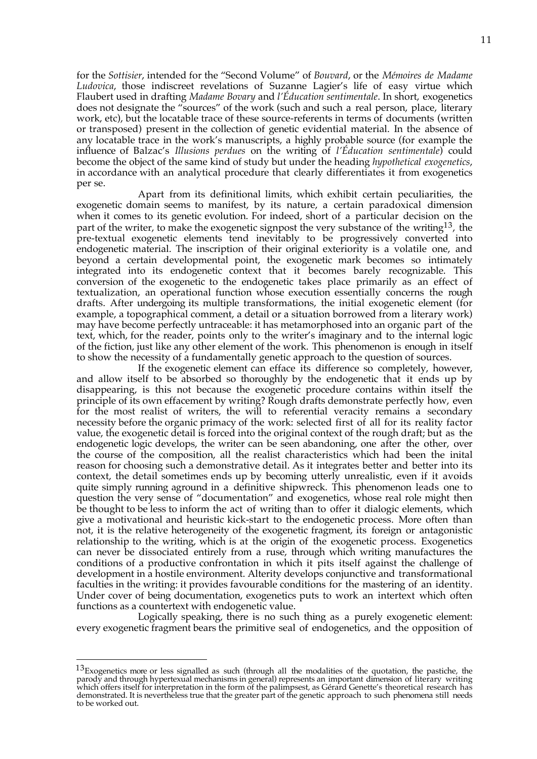for the *Sottisier*, intended for the "Second Volume" of *Bouvard*, or the *Mémoires de Madame Ludovica*, those indiscreet revelations of Suzanne Lagier's life of easy virtue which Flaubert used in drafting *Madame Bovary* and *l'Éducation sentimentale*. In short, exogenetics does not designate the "sources" of the work (such and such a real person, place, literary work, etc), but the locatable trace of these source-referents in terms of documents (written or transposed) present in the collection of genetic evidential material. In the absence of any locatable trace in the work's manuscripts, a highly probable source (for example the influence of Balzac's *Illusions perdues* on the writing of *l'Éducation sentimentale*) could become the object of the same kind of study but under the heading *hypothetical exogenetics*, in accordance with an analytical procedure that clearly differentiates it from exogenetics per se.

Apart from its definitional limits, which exhibit certain peculiarities, the exogenetic domain seems to manifest, by its nature, a certain paradoxical dimension when it comes to its genetic evolution. For indeed, short of a particular decision on the part of the writer, to make the exogenetic signpost the very substance of the writing<sup>13</sup>, the pre-textual exogenetic elements tend inevitably to be progressively converted into endogenetic material. The inscription of their original exteriority is a volatile one, and beyond a certain developmental point, the exogenetic mark becomes so intimately integrated into its endogenetic context that it becomes barely recognizable. This conversion of the exogenetic to the endogenetic takes place primarily as an effect of textualization, an operational function whose execution essentially concerns the rough drafts. After undergoing its multiple transformations, the initial exogenetic element (for example, a topographical comment, a detail or a situation borrowed from a literary work) may have become perfectly untraceable: it has metamorphosed into an organic part of the text, which, for the reader, points only to the writer's imaginary and to the internal logic of the fiction, just like any other element of the work. This phenomenon is enough in itself to show the necessity of a fundamentally genetic approach to the question of sources.

If the exogenetic element can efface its difference so completely, however, and allow itself to be absorbed so thoroughly by the endogenetic that it ends up by disappearing, is this not because the exogenetic procedure contains within itself the principle of its own effacement by writing? Rough drafts demonstrate perfectly how, even for the most realist of writers, the will to referential veracity remains a secondary necessity before the organic primacy of the work: selected first of all for its reality factor value, the exogenetic detail is forced into the original context of the rough draft; but as the endogenetic logic develops, the writer can be seen abandoning, one after the other, over the course of the composition, all the realist characteristics which had been the inital reason for choosing such a demonstrative detail. As it integrates better and better into its context, the detail sometimes ends up by becoming utterly unrealistic, even if it avoids quite simply running aground in a definitive shipwreck. This phenomenon leads one to question the very sense of "documentation" and exogenetics, whose real role might then be thought to be less to inform the act of writing than to offer it dialogic elements, which give a motivational and heuristic kick-start to the endogenetic process. More often than not, it is the relative heterogeneity of the exogenetic fragment, its foreign or antagonistic relationship to the writing, which is at the origin of the exogenetic process. Exogenetics can never be dissociated entirely from a ruse, through which writing manufactures the conditions of a productive confrontation in which it pits itself against the challenge of development in a hostile environment. Alterity develops conjunctive and transformational faculties in the writing: it provides favourable conditions for the mastering of an identity. Under cover of being documentation, exogenetics puts to work an intertext which often functions as a countertext with endogenetic value.

Logically speaking, there is no such thing as a purely exogenetic element: every exogenetic fragment bears the primitive seal of endogenetics, and the opposition of

 $13$ Exogenetics more or less signalled as such (through all the modalities of the quotation, the pastiche, the parody and through hypertexual mechanisms in general) represents an important dimension of literary writing which offers itself for interpretation in the form of the palimpsest, as Gérard Genette's theoretical research has demonstrated. It is nevertheless true that the greater part of the genetic approach to such phenomena still needs to be worked out.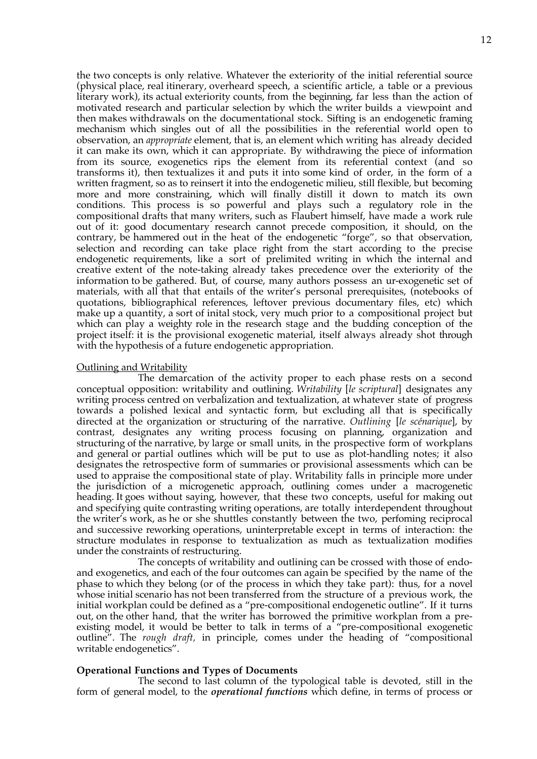the two concepts is only relative. Whatever the exteriority of the initial referential source (physical place, real itinerary, overheard speech, a scientific article, a table or a previous literary work), its actual exteriority counts, from the beginning, far less than the action of motivated research and particular selection by which the writer builds a viewpoint and then makes withdrawals on the documentational stock. Sifting is an endogenetic framing mechanism which singles out of all the possibilities in the referential world open to observation, an *appropriate* element, that is, an element which writing has already decided it can make its own, which it can appropriate. By withdrawing the piece of information from its source, exogenetics rips the element from its referential context (and so transforms it), then textualizes it and puts it into some kind of order, in the form of a written fragment, so as to reinsert it into the endogenetic milieu, still flexible, but becoming more and more constraining, which will finally distill it down to match its own conditions. This process is so powerful and plays such a regulatory role in the compositional drafts that many writers, such as Flaubert himself, have made a work rule out of it: good documentary research cannot precede composition, it should, on the contrary, be hammered out in the heat of the endogenetic "forge", so that observation, selection and recording can take place right from the start according to the precise endogenetic requirements, like a sort of prelimited writing in which the internal and creative extent of the note-taking already takes precedence over the exteriority of the information to be gathered. But, of course, many authors possess an ur-exogenetic set of materials, with all that that entails of the writer's personal prerequisites, (notebooks of quotations, bibliographical references, leftover previous documentary files, etc) which make up a quantity, a sort of inital stock, very much prior to a compositional project but which can play a weighty role in the research stage and the budding conception of the project itself: it is the provisional exogenetic material, itself always already shot through with the hypothesis of a future endogenetic appropriation.

# Outlining and Writability

The demarcation of the activity proper to each phase rests on a second conceptual opposition: writability and outlining. *Writability* [*le scriptural*] designates any writing process centred on verbalization and textualization, at whatever state of progress towards a polished lexical and syntactic form, but excluding all that is specifically directed at the organization or structuring of the narrative. *Outlining* [*le scénarique*], by contrast, designates any writing process focusing on planning, organization and structuring of the narrative, by large or small units, in the prospective form of workplans and general or partial outlines which will be put to use as plot-handling notes; it also designates the retrospective form of summaries or provisional assessments which can be used to appraise the compositional state of play. Writability falls in principle more under the jurisdiction of a microgenetic approach, outlining comes under a macrogenetic heading. It goes without saying, however, that these two concepts, useful for making out and specifying quite contrasting writing operations, are totally interdependent throughout the writer's work, as he or she shuttles constantly between the two, perfoming reciprocal and successive reworking operations, uninterpretable except in terms of interaction: the structure modulates in response to textualization as much as textualization modifies under the constraints of restructuring.

The concepts of writability and outlining can be crossed with those of endoand exogenetics, and each of the four outcomes can again be specified by the name of the phase to which they belong (or of the process in which they take part): thus, for a novel whose initial scenario has not been transferred from the structure of a previous work, the initial workplan could be defined as a "pre-compositional endogenetic outline". If it turns out, on the other hand, that the writer has borrowed the primitive workplan from a preexisting model, it would be better to talk in terms of a "pre-compositional exogenetic outline". The *rough draft,* in principle, comes under the heading of "compositional writable endogenetics".

# **Operational Functions and Types of Documents**

The second to last column of the typological table is devoted, still in the form of general model, to the *operational functions* which define, in terms of process or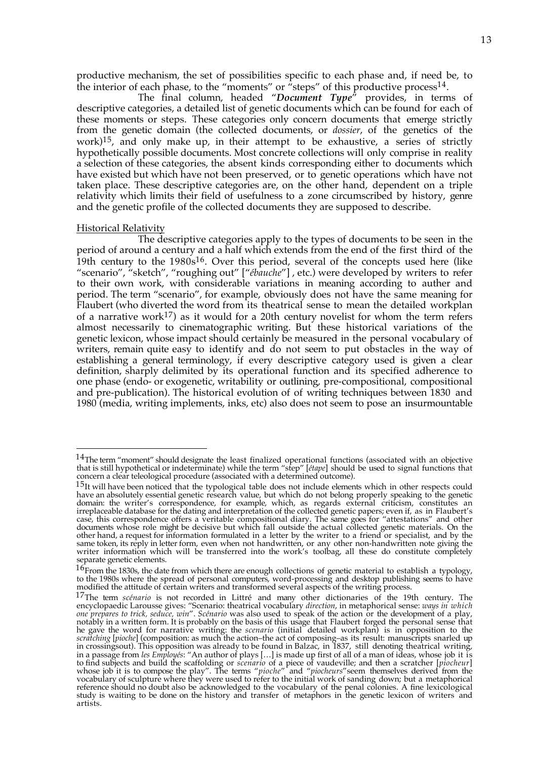productive mechanism, the set of possibilities specific to each phase and, if need be, to the interior of each phase, to the "moments" or "steps" of this productive process<sup>14</sup>.

The final column, headed "*Document Type*" provides, in terms of descriptive categories, a detailed list of genetic documents which can be found for each of these moments or steps. These categories only concern documents that emerge strictly from the genetic domain (the collected documents, or *dossier*, of the genetics of the work)<sup>15</sup>, and only make up, in their attempt to be exhaustive, a series of strictly hypothetically possible documents. Most concrete collections will only comprise in reality a selection of these categories, the absent kinds corresponding either to documents which have existed but which have not been preserved, or to genetic operations which have not taken place. These descriptive categories are, on the other hand, dependent on a triple relativity which limits their field of usefulness to a zone circumscribed by history, genre and the genetic profile of the collected documents they are supposed to describe.

### Historical Relativity

 $\overline{a}$ 

The descriptive categories apply to the types of documents to be seen in the period of around a century and a half which extends from the end of the first third of the 19th century to the  $1980s^{16}$ . Over this period, several of the concepts used here (like "scenario", "sketch", "roughing out" ["*ébauche*"] , etc.) were developed by writers to refer to their own work, with considerable variations in meaning according to auther and period. The term "scenario", for example, obviously does not have the same meaning for Flaubert (who diverted the word from its theatrical sense to mean the detailed workplan of a narrative work<sup>17</sup>) as it would for a 20th century novelist for whom the term refers almost necessarily to cinematographic writing. But these historical variations of the genetic lexicon, whose impact should certainly be measured in the personal vocabulary of writers, remain quite easy to identify and do not seem to put obstacles in the way of establishing a general terminology, if every descriptive category used is given a clear definition, sharply delimited by its operational function and its specified adherence to one phase (endo- or exogenetic, writability or outlining, pre-compositional, compositional and pre-publication). The historical evolution of of writing techniques between 1830 and 1980 (media, writing implements, inks, etc) also does not seem to pose an insurmountable

<sup>&</sup>lt;sup>14</sup>The term "moment" should designate the least finalized operational functions (associated with an objective that is still hypothetical or indeterminate) while the term "step" [*étape*] should be used to signal functions that concern a clear teleological procedure (associated with a determined outcome).

<sup>&</sup>lt;sup>15</sup>It will have been noticed that the typological table does not include elements which in other respects could have an absolutely essential genetic research value, but which do not belong properly speaking to the genetic domain: the writer's correspondence, for example, which, as regards external criticism, constitutes an irreplaceable database for the dating and interpretation of the collected genetic papers; even if, as in Flaubert's case, this correspondence offers a veritable compositional diary. The same goes for "attestations" and other documents whose role might be decisive but which fall outside the actual collected genetic materials. On the other hand, a request for information formulated in a letter by the writer to a friend or specialist, and by the same token, its reply in letter form, even when not handwritten, or any other non-handwritten note giving the writer information which will be transferred into the work's toolbag, all these do constitute completely separate genetic elements.

 $16$ From the 1830s, the date from which there are enough collections of genetic material to establish a typology, to the 1980s where the spread of personal computers, word-processing and desktop publishing seems to have modified the attitude of certain writers and transformed several aspects of the writing process.

<sup>17</sup>The term *scénario* is not recorded in Littré and many other dictionaries of the 19th century. The encyclopaedic Larousse gives: "Scenario: theatrical vocabulary *direction*, in metaphorical sense: *ways in which one prepares to trick, seduce, win*". *Scénario* was also used to speak of the action or the development of a play, notably in a written form. It is probably on the basis of this usage that Flaubert forged the personal sense that he gave the word for narrative writing: the *scenario* (initial detailed workplan) is in opposition to the *scratching* [*pioche*] (composition: as much the action–the act of composing–as its result: manuscripts snarled up in crossingsout). This opposition was already to be found in Balzac, in 1837, still denoting theatrical writing, in a passage from *les Employés*: "An author of plays […] is made up first of all of a man of ideas, whose job it is to find subjects and build the scaffolding or *scenario* of a piece of vaudeville; and then a scratcher [*piocheur*] whose job it is to compose the play". The terms "*pioche*" and "*piocheurs*"seem themselves derived from the vocabulary of sculpture where they were used to refer to the initial work of sanding down; but a metaphorical reference should no doubt also be acknowledged to the vocabulary of the penal colonies. A fine lexicological study is waiting to be done on the history and transfer of metaphors in the genetic lexicon of writers and artists.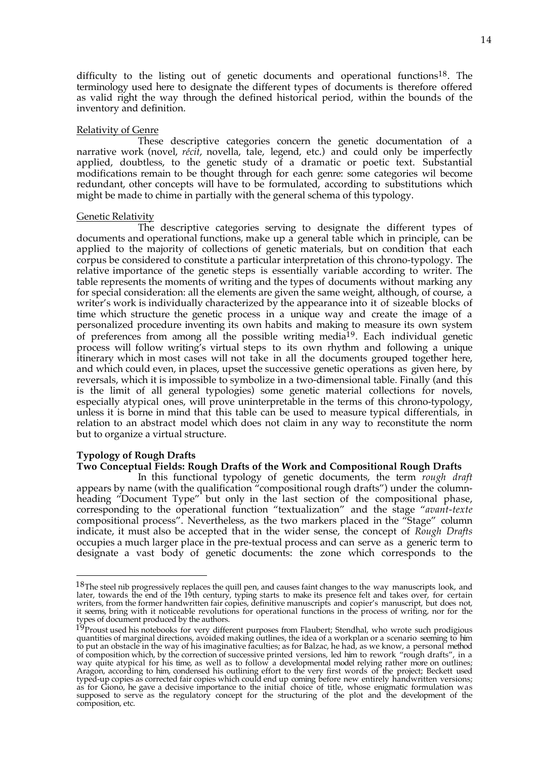difficulty to the listing out of genetic documents and operational functions<sup>18</sup>. The terminology used here to designate the different types of documents is therefore offered as valid right the way through the defined historical period, within the bounds of the inventory and definition.

# Relativity of Genre

These descriptive categories concern the genetic documentation of a narrative work (novel, *récit*, novella, tale, legend, etc.) and could only be imperfectly applied, doubtless, to the genetic study of a dramatic or poetic text. Substantial modifications remain to be thought through for each genre: some categories wil become redundant, other concepts will have to be formulated, according to substitutions which might be made to chime in partially with the general schema of this typology.

## Genetic Relativity

The descriptive categories serving to designate the different types of documents and operational functions, make up a general table which in principle, can be applied to the majority of collections of genetic materials, but on condition that each corpus be considered to constitute a particular interpretation of this chrono-typology. The relative importance of the genetic steps is essentially variable according to writer. The table represents the moments of writing and the types of documents without marking any for special consideration: all the elements are given the same weight, although, of course, a writer's work is individually characterized by the appearance into it of sizeable blocks of time which structure the genetic process in a unique way and create the image of a personalized procedure inventing its own habits and making to measure its own system of preferences from among all the possible writing media<sup>19</sup>. Each individual genetic process will follow writing's virtual steps to its own rhythm and following a unique itinerary which in most cases will not take in all the documents grouped together here, and which could even, in places, upset the successive genetic operations as given here, by reversals, which it is impossible to symbolize in a two-dimensional table. Finally (and this is the limit of all general typologies) some genetic material collections for novels, especially atypical ones, will prove uninterpretable in the terms of this chrono-typology, unless it is borne in mind that this table can be used to measure typical differentials, in relation to an abstract model which does not claim in any way to reconstitute the norm but to organize a virtual structure.

# **Typology of Rough Drafts**

1

## **Two Conceptual Fields: Rough Drafts of the Work and Compositional Rough Drafts**

In this functional typology of genetic documents, the term *rough draft* appears by name (with the qualification "compositional rough drafts") under the columnheading "Document Type" but only in the last section of the compositional phase, corresponding to the operational function "textualization" and the stage "*avant-texte* compositional process". Nevertheless, as the two markers placed in the "Stage" column indicate, it must also be accepted that in the wider sense, the concept of *Rough Drafts* occupies a much larger place in the pre-textual process and can serve as a generic term to designate a vast body of genetic documents: the zone which corresponds to the

 $18$ The steel nib progressively replaces the quill pen, and causes faint changes to the way manuscripts look, and later, towards the end of the 19th century, typing starts to make its presence felt and takes over, for certain writers, from the former handwritten fair copies, definitive manuscripts and copier's manuscript, but does not, it seems, bring with it noticeable revolutions for operational functions in the process of writing, nor for the types of document produced by the authors.

<sup>&</sup>lt;sup>19</sup>Proust used his notebooks for very different purposes from Flaubert; Stendhal, who wrote such prodigious quantities of marginal directions, avoided making outlines, the idea of a workplan or a scenario seeming to him to put an obstacle in the way of his imaginative faculties; as for Balzac, he had, as we know, a personal method of composition which, by the correction of successive printed versions, led him to rework "rough drafts", in a way quite atypical for his time, as well as to follow a developmental model relying rather more on outlines; Aragon, according to him, condensed his outlining effort to the very first words of the project; Beckett used typed-up copies as corrected fair copies which could end up coming before new entirely handwritten versions; as for Giono, he gave a decisive importance to the initial choice of title, whose enigmatic formulation was supposed to serve as the regulatory concept for the structuring of the plot and the development of the composition, etc.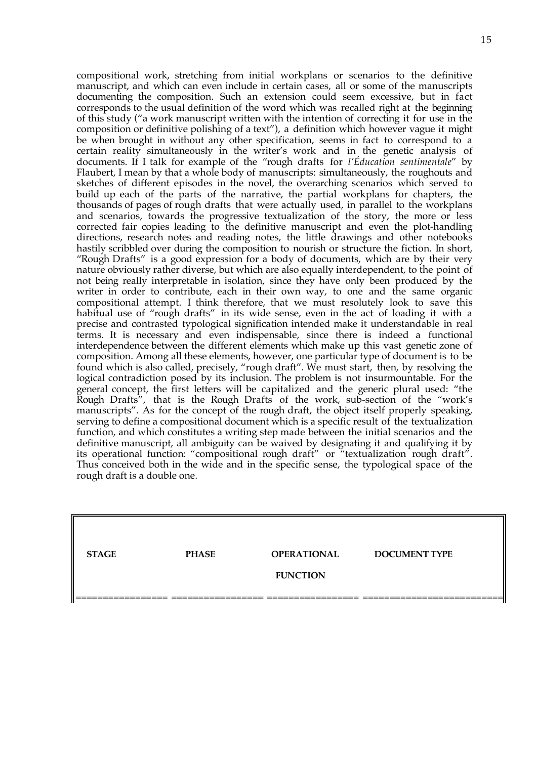compositional work, stretching from initial workplans or scenarios to the definitive manuscript, and which can even include in certain cases, all or some of the manuscripts documenting the composition. Such an extension could seem excessive, but in fact corresponds to the usual definition of the word which was recalled right at the beginning of this study ("a work manuscript written with the intention of correcting it for use in the composition or definitive polishing of a text"), a definition which however vague it might be when brought in without any other specification, seems in fact to correspond to a certain reality simultaneously in the writer's work and in the genetic analysis of documents. If I talk for example of the "rough drafts for *l'Éducation sentimentale*" by Flaubert, I mean by that a whole body of manuscripts: simultaneously, the roughouts and sketches of different episodes in the novel, the overarching scenarios which served to build up each of the parts of the narrative, the partial workplans for chapters, the thousands of pages of rough drafts that were actually used, in parallel to the workplans and scenarios, towards the progressive textualization of the story, the more or less corrected fair copies leading to the definitive manuscript and even the plot-handling directions, research notes and reading notes, the little drawings and other notebooks hastily scribbled over during the composition to nourish or structure the fiction. In short, "Rough Drafts" is a good expression for a body of documents, which are by their very nature obviously rather diverse, but which are also equally interdependent, to the point of not being really interpretable in isolation, since they have only been produced by the writer in order to contribute, each in their own way, to one and the same organic compositional attempt. I think therefore, that we must resolutely look to save this habitual use of "rough drafts" in its wide sense, even in the act of loading it with a precise and contrasted typological signification intended make it understandable in real terms. It is necessary and even indispensable, since there is indeed a functional interdependence between the different elements which make up this vast genetic zone of composition. Among all these elements, however, one particular type of document is to be found which is also called, precisely, "rough draft". We must start, then, by resolving the logical contradiction posed by its inclusion. The problem is not insurmountable. For the general concept, the first letters will be capitalized and the generic plural used: "the Rough Drafts", that is the Rough Drafts of the work, sub-section of the "work's manuscripts". As for the concept of the rough draft, the object itself properly speaking, serving to define a compositional document which is a specific result of the textualization function, and which constitutes a writing step made between the initial scenarios and the definitive manuscript, all ambiguity can be waived by designating it and qualifying it by its operational function: "compositional rough draft" or "textualization rough draft". Thus conceived both in the wide and in the specific sense, the typological space of the rough draft is a double one.

| <b>STAGE</b> | <b>PHASE</b> | <b>OPERATIONAL</b> | <b>DOCUMENT TYPE</b> |
|--------------|--------------|--------------------|----------------------|
|              |              |                    |                      |
|              |              | <b>FUNCTION</b>    |                      |
|              |              |                    |                      |
|              |              |                    |                      |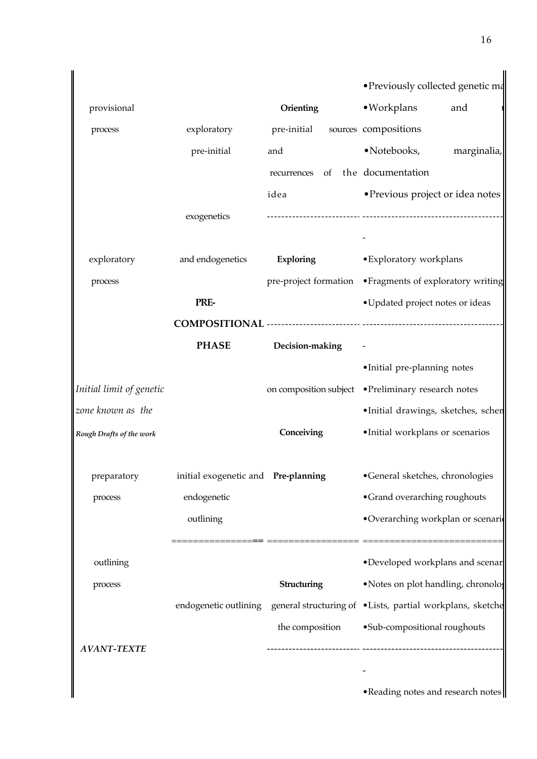|                          |                                     |                 | · Previously collected genetic ma                                               |
|--------------------------|-------------------------------------|-----------------|---------------------------------------------------------------------------------|
| provisional              |                                     | Orienting       | · Workplans<br>and                                                              |
| process                  | exploratory                         | pre-initial     | sources compositions                                                            |
|                          |                                     | and             | • Notebooks,<br>marginalia,                                                     |
|                          | pre-initial                         |                 |                                                                                 |
|                          |                                     | recurrences     | of the documentation                                                            |
|                          |                                     | idea            | • Previous project or idea notes                                                |
|                          | exogenetics                         |                 |                                                                                 |
| exploratory              | and endogenetics                    | Exploring       | • Exploratory workplans                                                         |
|                          |                                     |                 |                                                                                 |
| process                  |                                     |                 | pre-project formation • Fragments of exploratory writing                        |
|                          | PRE-                                |                 | • Updated project notes or ideas                                                |
|                          |                                     |                 |                                                                                 |
|                          | <b>PHASE</b>                        | Decision-making |                                                                                 |
|                          |                                     |                 | •Initial pre-planning notes                                                     |
| Initial limit of genetic |                                     |                 | on composition subject • Preliminary research notes                             |
| zone known as the        |                                     |                 | ·Initial drawings, sketches, schen                                              |
| Rough Drafts of the work |                                     | Conceiving      | ·Initial workplans or scenarios                                                 |
| preparatory              | initial exogenetic and Pre-planning |                 | •General sketches, chronologies                                                 |
| process                  | endogenetic                         |                 | •Grand overarching roughouts                                                    |
|                          | outlining                           |                 | •Overarching workplan or scenario                                               |
| outlining                |                                     |                 | •Developed workplans and scenar                                                 |
| process                  |                                     | Structuring     | •Notes on plot handling, chronolog                                              |
|                          |                                     |                 | endogenetic outlining general structuring of •Lists, partial workplans, sketche |
|                          |                                     | the composition | ·Sub-compositional roughouts                                                    |
| <b>AVANT-TEXTE</b>       |                                     |                 |                                                                                 |
|                          |                                     |                 |                                                                                 |
|                          |                                     |                 | • Reading notes and research notes                                              |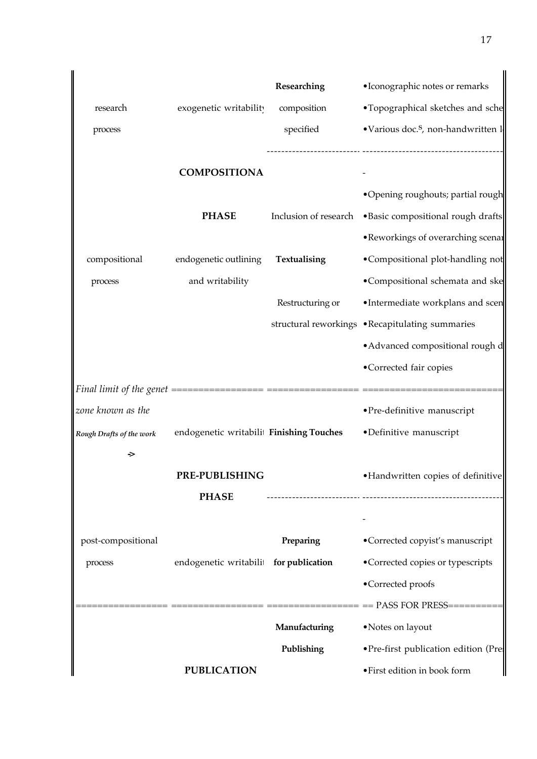|                          |                                         | Researching      | · Iconographic notes or remarks                          |
|--------------------------|-----------------------------------------|------------------|----------------------------------------------------------|
|                          |                                         |                  |                                                          |
| research                 | exogenetic writability                  | composition      | •Topographical sketches and sche                         |
| process                  |                                         | specified        | •Various doc. <sup>S</sup> , non-handwritten l           |
|                          |                                         |                  |                                                          |
|                          | <b>COMPOSITIONA</b>                     |                  |                                                          |
|                          |                                         |                  | •Opening roughouts; partial rough                        |
|                          | <b>PHASE</b>                            |                  | Inclusion of research . Basic compositional rough drafts |
|                          |                                         |                  | • Reworkings of overarching scenar                       |
| compositional            | endogenetic outlining                   | Textualising     | •Compositional plot-handling not                         |
| process                  | and writability                         |                  | •Compositional schemata and ske                          |
|                          |                                         | Restructuring or | •Intermediate workplans and scen                         |
|                          |                                         |                  | structural reworkings .Recapitulating summaries          |
|                          |                                         |                  | • Advanced compositional rough d                         |
|                          |                                         |                  | •Corrected fair copies                                   |
|                          |                                         |                  |                                                          |
| zone known as the        |                                         |                  | • Pre-definitive manuscript                              |
| Rough Drafts of the work | endogenetic writabili Finishing Touches |                  | •Definitive manuscript                                   |
| →                        |                                         |                  |                                                          |
|                          | PRE-PUBLISHING                          |                  | • Handwritten copies of definitive                       |
|                          | <b>PHASE</b>                            |                  |                                                          |
|                          |                                         |                  |                                                          |
| post-compositional       |                                         | Preparing        | •Corrected copyist's manuscript                          |
| process                  | endogenetic writabili for publication   |                  | •Corrected copies or typescripts                         |
|                          |                                         |                  | •Corrected proofs                                        |
|                          |                                         |                  |                                                          |
|                          |                                         | Manufacturing    | • Notes on layout                                        |
|                          |                                         | Publishing       | • Pre-first publication edition (Pre-                    |
|                          |                                         |                  |                                                          |
|                          | <b>PUBLICATION</b>                      |                  | • First edition in book form                             |